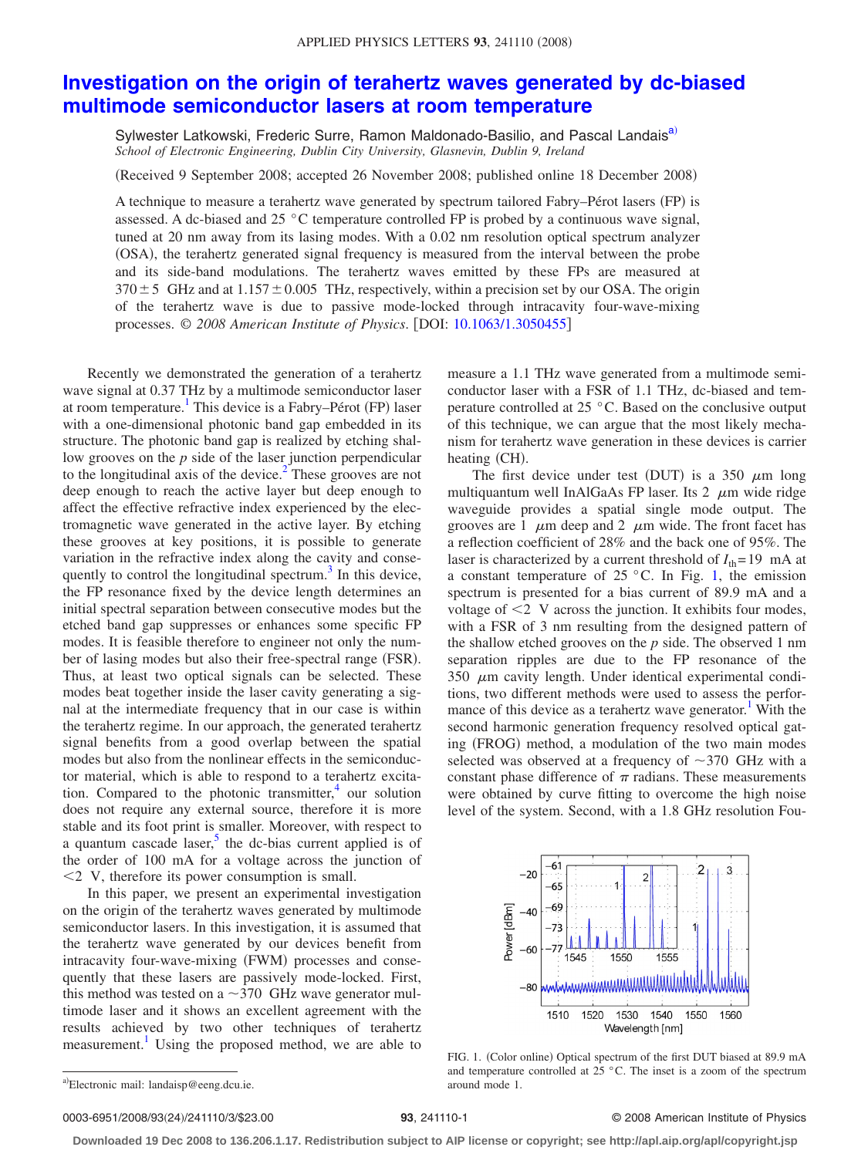## **[Investigation on the origin of terahertz waves generated by dc-biased](http://dx.doi.org/10.1063/1.3050455) [multimode semiconductor lasers at room temperature](http://dx.doi.org/10.1063/1.3050455)**

Sylwester Latkowski, Frederic Surre, Ramon Maldonado-Basilio, and Pascal Landais<sup>a)</sup> *School of Electronic Engineering, Dublin City University, Glasnevin, Dublin 9, Ireland*

Received 9 September 2008; accepted 26 November 2008; published online 18 December 2008-

A technique to measure a terahertz wave generated by spectrum tailored Fabry–Pérot lasers (FP) is assessed. A dc-biased and 25  $\degree$ C temperature controlled FP is probed by a continuous wave signal, tuned at 20 nm away from its lasing modes. With a 0.02 nm resolution optical spectrum analyzer (OSA), the terahertz generated signal frequency is measured from the interval between the probe and its side-band modulations. The terahertz waves emitted by these FPs are measured at  $370 \pm 5$  GHz and at  $1.157 \pm 0.005$  THz, respectively, within a precision set by our OSA. The origin of the terahertz wave is due to passive mode-locked through intracavity four-wave-mixing processes. © *2008 American Institute of Physics*. DOI: [10.1063/1.3050455](http://dx.doi.org/10.1063/1.3050455)

Recently we demonstrated the generation of a terahertz wave signal at 0.37 THz by a multimode semiconductor laser at room temperature.<sup>1</sup> This device is a Fabry–Pérot (FP) laser with a one-dimensional photonic band gap embedded in its structure. The photonic band gap is realized by etching shallow grooves on the *p* side of the laser junction perpendicular to the longitudinal axis of the device.<sup>2</sup> These grooves are not deep enough to reach the active layer but deep enough to affect the effective refractive index experienced by the electromagnetic wave generated in the active layer. By etching these grooves at key positions, it is possible to generate variation in the refractive index along the cavity and consequently to control the longitudinal spectrum. $3$  In this device, the FP resonance fixed by the device length determines an initial spectral separation between consecutive modes but the etched band gap suppresses or enhances some specific FP modes. It is feasible therefore to engineer not only the number of lasing modes but also their free-spectral range (FSR). Thus, at least two optical signals can be selected. These modes beat together inside the laser cavity generating a signal at the intermediate frequency that in our case is within the terahertz regime. In our approach, the generated terahertz signal benefits from a good overlap between the spatial modes but also from the nonlinear effects in the semiconductor material, which is able to respond to a terahertz excitation. Compared to the photonic transmitter, $4$  our solution does not require any external source, therefore it is more stable and its foot print is smaller. Moreover, with respect to a quantum cascade laser,<sup>5</sup> the dc-bias current applied is of the order of 100 mA for a voltage across the junction of -2 V, therefore its power consumption is small.

In this paper, we present an experimental investigation on the origin of the terahertz waves generated by multimode semiconductor lasers. In this investigation, it is assumed that the terahertz wave generated by our devices benefit from intracavity four-wave-mixing (FWM) processes and consequently that these lasers are passively mode-locked. First, this method was tested on a  $\sim$  370 GHz wave generator multimode laser and it shows an excellent agreement with the results achieved by two other techniques of terahertz measurement.<sup>1</sup> Using the proposed method, we are able to measure a 1.1 THz wave generated from a multimode semiconductor laser with a FSR of 1.1 THz, dc-biased and temperature controlled at 25 °C. Based on the conclusive output of this technique, we can argue that the most likely mechanism for terahertz wave generation in these devices is carrier heating (CH).

The first device under test (DUT) is a 350  $\mu$ m long multiquantum well InAlGaAs FP laser. Its  $2 \mu m$  wide ridge waveguide provides a spatial single mode output. The grooves are 1  $\mu$ m deep and 2  $\mu$ m wide. The front facet has a reflection coefficient of 28% and the back one of 95%. The laser is characterized by a current threshold of  $I_{\text{th}}=19$  mA at a constant temperature of  $25^{\circ}$ C. In Fig. [1,](#page-0-1) the emission spectrum is presented for a bias current of 89.9 mA and a voltage of  $\leq$  2 V across the junction. It exhibits four modes, with a FSR of 3 nm resulting from the designed pattern of the shallow etched grooves on the *p* side. The observed 1 nm separation ripples are due to the FP resonance of the  $350 \mu m$  cavity length. Under identical experimental conditions, two different methods were used to assess the performance of this device as a terahertz wave generator.<sup>1</sup> With the second harmonic generation frequency resolved optical gating (FROG) method, a modulation of the two main modes selected was observed at a frequency of  $\sim$ 370 GHz with a constant phase difference of  $\pi$  radians. These measurements were obtained by curve fitting to overcome the high noise level of the system. Second, with a 1.8 GHz resolution Fou-

<span id="page-0-1"></span>

FIG. 1. (Color online) Optical spectrum of the first DUT biased at 89.9 mA and temperature controlled at 25 °C. The inset is a zoom of the spectrum around mode 1.

0003-6951/2008/93(24)/241110/3/\$23.00

## **23**, 241110-1 © 2008 American Institute of Physics

**Downloaded 19 Dec 2008 to 136.206.1.17. Redistribution subject to AIP license or copyright; see http://apl.aip.org/apl/copyright.jsp**

<span id="page-0-0"></span>a)Electronic mail: landaisp@eeng.dcu.ie.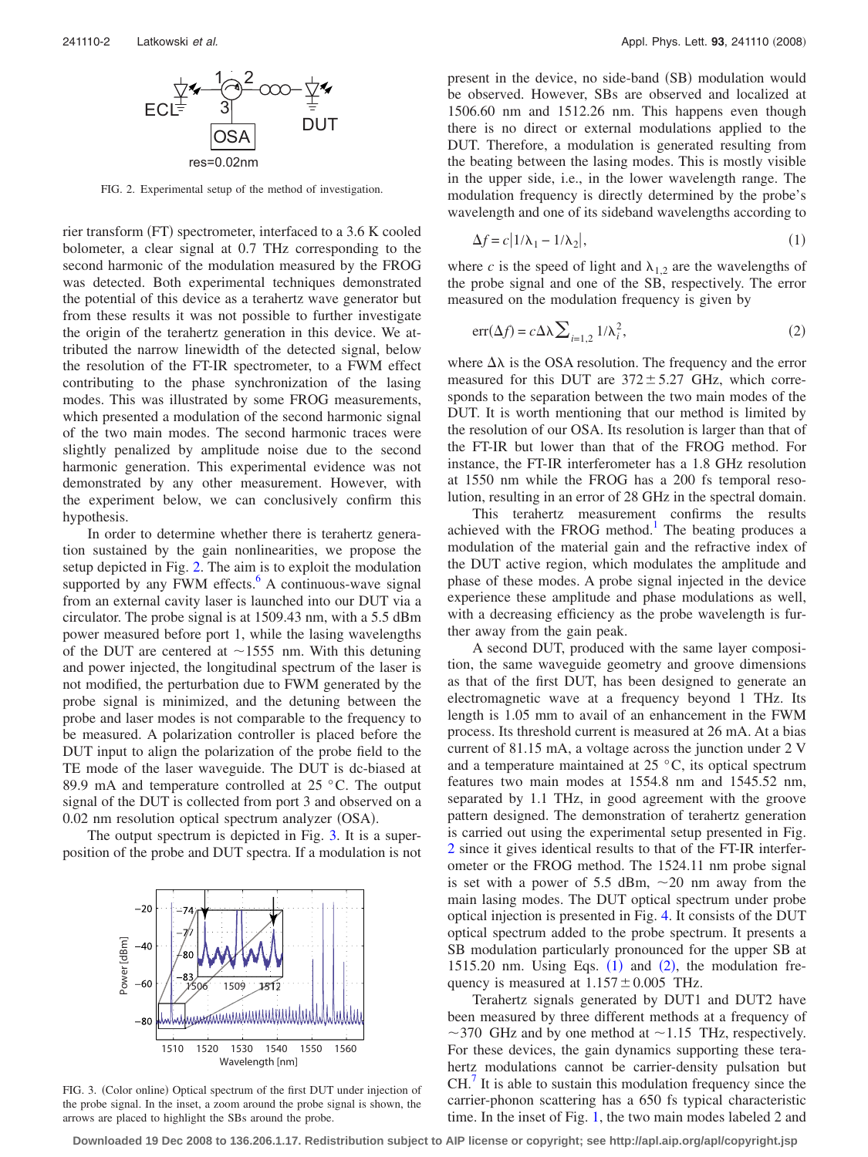<span id="page-1-0"></span>

FIG. 2. Experimental setup of the method of investigation.

rier transform (FT) spectrometer, interfaced to a 3.6 K cooled bolometer, a clear signal at 0.7 THz corresponding to the second harmonic of the modulation measured by the FROG was detected. Both experimental techniques demonstrated the potential of this device as a terahertz wave generator but from these results it was not possible to further investigate the origin of the terahertz generation in this device. We attributed the narrow linewidth of the detected signal, below the resolution of the FT-IR spectrometer, to a FWM effect contributing to the phase synchronization of the lasing modes. This was illustrated by some FROG measurements, which presented a modulation of the second harmonic signal of the two main modes. The second harmonic traces were slightly penalized by amplitude noise due to the second harmonic generation. This experimental evidence was not demonstrated by any other measurement. However, with the experiment below, we can conclusively confirm this hypothesis.

In order to determine whether there is terahertz generation sustained by the gain nonlinearities, we propose the setup depicted in Fig. [2.](#page-1-0) The aim is to exploit the modulation supported by any FWM effects. $6$  A continuous-wave signal from an external cavity laser is launched into our DUT via a circulator. The probe signal is at 1509.43 nm, with a 5.5 dBm power measured before port 1, while the lasing wavelengths of the DUT are centered at  $\sim$ 1555 nm. With this detuning and power injected, the longitudinal spectrum of the laser is not modified, the perturbation due to FWM generated by the probe signal is minimized, and the detuning between the probe and laser modes is not comparable to the frequency to be measured. A polarization controller is placed before the DUT input to align the polarization of the probe field to the TE mode of the laser waveguide. The DUT is dc-biased at 89.9 mA and temperature controlled at 25 °C. The output signal of the DUT is collected from port 3 and observed on a 0.02 nm resolution optical spectrum analyzer (OSA).

<span id="page-1-1"></span>The output spectrum is depicted in Fig. [3.](#page-1-1) It is a superposition of the probe and DUT spectra. If a modulation is not



FIG. 3. (Color online) Optical spectrum of the first DUT under injection of the probe signal. In the inset, a zoom around the probe signal is shown, the arrows are placed to highlight the SBs around the probe.

present in the device, no side-band (SB) modulation would be observed. However, SBs are observed and localized at 1506.60 nm and 1512.26 nm. This happens even though there is no direct or external modulations applied to the DUT. Therefore, a modulation is generated resulting from the beating between the lasing modes. This is mostly visible in the upper side, i.e., in the lower wavelength range. The modulation frequency is directly determined by the probe's wavelength and one of its sideband wavelengths according to

<span id="page-1-2"></span>
$$
\Delta f = c |1/\lambda_1 - 1/\lambda_2|,\tag{1}
$$

<span id="page-1-3"></span>where *c* is the speed of light and  $\lambda_{1,2}$  are the wavelengths of the probe signal and one of the SB, respectively. The error measured on the modulation frequency is given by

$$
err(\Delta f) = c \Delta \lambda \sum_{i=1,2} 1/\lambda_i^2,
$$
 (2)

where  $\Delta\lambda$  is the OSA resolution. The frequency and the error measured for this DUT are  $372 \pm 5.27$  GHz, which corresponds to the separation between the two main modes of the DUT. It is worth mentioning that our method is limited by the resolution of our OSA. Its resolution is larger than that of the FT-IR but lower than that of the FROG method. For instance, the FT-IR interferometer has a 1.8 GHz resolution at 1550 nm while the FROG has a 200 fs temporal resolution, resulting in an error of 28 GHz in the spectral domain.

This terahertz measurement confirms the results achieved with the FROG method.<sup>1</sup> The beating produces a modulation of the material gain and the refractive index of the DUT active region, which modulates the amplitude and phase of these modes. A probe signal injected in the device experience these amplitude and phase modulations as well, with a decreasing efficiency as the probe wavelength is further away from the gain peak.

A second DUT, produced with the same layer composition, the same waveguide geometry and groove dimensions as that of the first DUT, has been designed to generate an electromagnetic wave at a frequency beyond 1 THz. Its length is 1.05 mm to avail of an enhancement in the FWM process. Its threshold current is measured at 26 mA. At a bias current of 81.15 mA, a voltage across the junction under 2 V and a temperature maintained at  $25^{\circ}$ C, its optical spectrum features two main modes at 1554.8 nm and 1545.52 nm, separated by 1.1 THz, in good agreement with the groove pattern designed. The demonstration of terahertz generation is carried out using the experimental setup presented in Fig. [2](#page-1-0) since it gives identical results to that of the FT-IR interferometer or the FROG method. The 1524.11 nm probe signal is set with a power of 5.5 dBm,  $\sim$  20 nm away from the main lasing modes. The DUT optical spectrum under probe optical injection is presented in Fig. [4.](#page-2-6) It consists of the DUT optical spectrum added to the probe spectrum. It presents a SB modulation particularly pronounced for the upper SB at [1](#page-1-2)515.[2](#page-1-3)0 nm. Using Eqs.  $(1)$  and  $(2)$ , the modulation frequency is measured at  $1.157 \pm 0.005$  THz.

Terahertz signals generated by DUT1 and DUT2 have been measured by three different methods at a frequency of ~370 GHz and by one method at ~1.15 THz, respectively. For these devices, the gain dynamics supporting these terahertz modulations cannot be carrier-density pulsation but  $CH<sup>7</sup>$  $CH<sup>7</sup>$  $CH<sup>7</sup>$  It is able to sustain this modulation frequency since the carrier-phonon scattering has a 650 fs typical characteristic time. In the inset of Fig. [1,](#page-0-1) the two main modes labeled 2 and

**Downloaded 19 Dec 2008 to 136.206.1.17. Redistribution subject to AIP license or copyright; see http://apl.aip.org/apl/copyright.jsp**